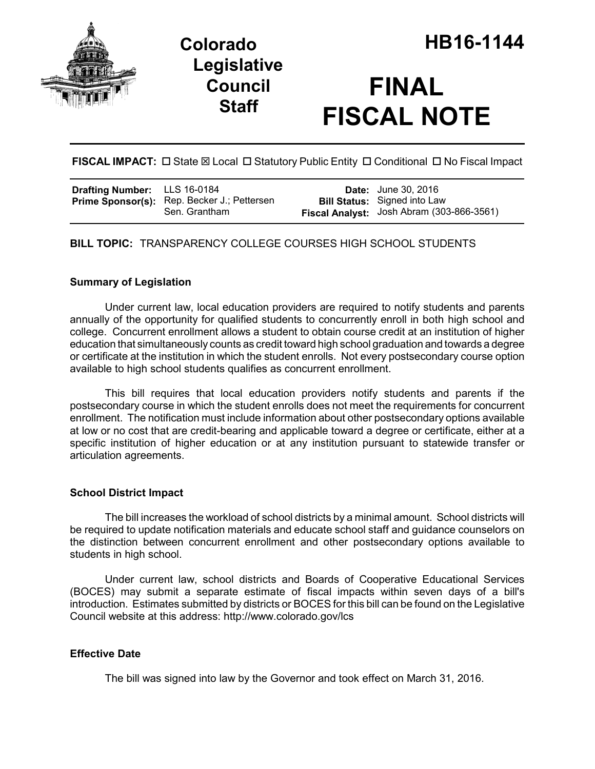



# **FINAL FISCAL NOTE**

**FISCAL IMPACT:**  $\Box$  State  $\boxtimes$  Local  $\Box$  Statutory Public Entity  $\Box$  Conditional  $\Box$  No Fiscal Impact

| Drafting Number: LLS 16-0184 |                                                                     | <b>Date:</b> June 30, 2016                                                       |
|------------------------------|---------------------------------------------------------------------|----------------------------------------------------------------------------------|
|                              | <b>Prime Sponsor(s):</b> Rep. Becker J.; Pettersen<br>Sen. Grantham | <b>Bill Status:</b> Signed into Law<br>Fiscal Analyst: Josh Abram (303-866-3561) |

**BILL TOPIC:** TRANSPARENCY COLLEGE COURSES HIGH SCHOOL STUDENTS

#### **Summary of Legislation**

Under current law, local education providers are required to notify students and parents annually of the opportunity for qualified students to concurrently enroll in both high school and college. Concurrent enrollment allows a student to obtain course credit at an institution of higher education that simultaneously counts as credit toward high school graduation and towards a degree or certificate at the institution in which the student enrolls. Not every postsecondary course option available to high school students qualifies as concurrent enrollment.

This bill requires that local education providers notify students and parents if the postsecondary course in which the student enrolls does not meet the requirements for concurrent enrollment. The notification must include information about other postsecondary options available at low or no cost that are credit-bearing and applicable toward a degree or certificate, either at a specific institution of higher education or at any institution pursuant to statewide transfer or articulation agreements.

#### **School District Impact**

The bill increases the workload of school districts by a minimal amount. School districts will be required to update notification materials and educate school staff and guidance counselors on the distinction between concurrent enrollment and other postsecondary options available to students in high school.

Under current law, school districts and Boards of Cooperative Educational Services (BOCES) may submit a separate estimate of fiscal impacts within seven days of a bill's introduction. Estimates submitted by districts or BOCES for this bill can be found on the Legislative Council website at this address: http://www.colorado.gov/lcs

## **Effective Date**

The bill was signed into law by the Governor and took effect on March 31, 2016.